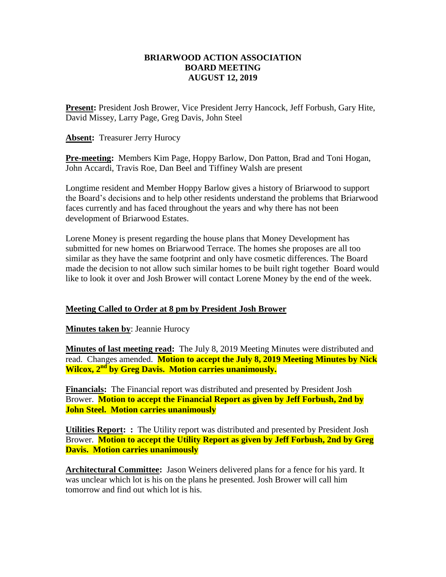### **BRIARWOOD ACTION ASSOCIATION BOARD MEETING AUGUST 12, 2019**

**Present:** President Josh Brower, Vice President Jerry Hancock, Jeff Forbush, Gary Hite, David Missey, Larry Page, Greg Davis, John Steel

**Absent:** Treasurer Jerry Hurocy

**Pre-meeting:** Members Kim Page, Hoppy Barlow, Don Patton, Brad and Toni Hogan, John Accardi, Travis Roe, Dan Beel and Tiffiney Walsh are present

Longtime resident and Member Hoppy Barlow gives a history of Briarwood to support the Board's decisions and to help other residents understand the problems that Briarwood faces currently and has faced throughout the years and why there has not been development of Briarwood Estates.

Lorene Money is present regarding the house plans that Money Development has submitted for new homes on Briarwood Terrace. The homes she proposes are all too similar as they have the same footprint and only have cosmetic differences. The Board made the decision to not allow such similar homes to be built right together Board would like to look it over and Josh Brower will contact Lorene Money by the end of the week.

## **Meeting Called to Order at 8 pm by President Josh Brower**

**Minutes taken by**: Jeannie Hurocy

**Minutes of last meeting read:** The July 8, 2019 Meeting Minutes were distributed and read. Changes amended. **Motion to accept the July 8, 2019 Meeting Minutes by Nick Wilcox, 2nd by Greg Davis. Motion carries unanimously.**

**Financials:** The Financial report was distributed and presented by President Josh Brower. **Motion to accept the Financial Report as given by Jeff Forbush, 2nd by John Steel. Motion carries unanimously** 

**Utilities Report: :** The Utility report was distributed and presented by President Josh Brower. **Motion to accept the Utility Report as given by Jeff Forbush, 2nd by Greg Davis. Motion carries unanimously** 

**Architectural Committee:** Jason Weiners delivered plans for a fence for his yard. It was unclear which lot is his on the plans he presented. Josh Brower will call him tomorrow and find out which lot is his.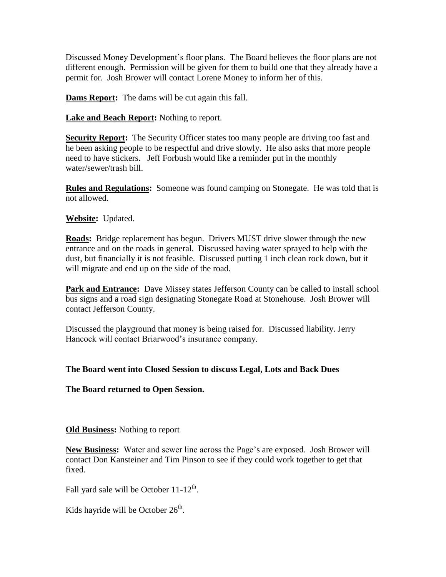Discussed Money Development's floor plans. The Board believes the floor plans are not different enough. Permission will be given for them to build one that they already have a permit for. Josh Brower will contact Lorene Money to inform her of this.

**Dams Report:** The dams will be cut again this fall.

**Lake and Beach Report:** Nothing to report.

**Security Report:** The Security Officer states too many people are driving too fast and he been asking people to be respectful and drive slowly. He also asks that more people need to have stickers. Jeff Forbush would like a reminder put in the monthly water/sewer/trash bill.

**Rules and Regulations:** Someone was found camping on Stonegate. He was told that is not allowed.

# **Website:** Updated.

**Roads:** Bridge replacement has begun. Drivers MUST drive slower through the new entrance and on the roads in general. Discussed having water sprayed to help with the dust, but financially it is not feasible. Discussed putting 1 inch clean rock down, but it will migrate and end up on the side of the road.

**Park and Entrance:** Dave Missey states Jefferson County can be called to install school bus signs and a road sign designating Stonegate Road at Stonehouse. Josh Brower will contact Jefferson County.

Discussed the playground that money is being raised for. Discussed liability. Jerry Hancock will contact Briarwood's insurance company.

## **The Board went into Closed Session to discuss Legal, Lots and Back Dues**

**The Board returned to Open Session.**

## **Old Business:** Nothing to report

**New Business:** Water and sewer line across the Page's are exposed. Josh Brower will contact Don Kansteiner and Tim Pinson to see if they could work together to get that fixed.

Fall yard sale will be October  $11-12<sup>th</sup>$ .

Kids hayride will be October  $26<sup>th</sup>$ .